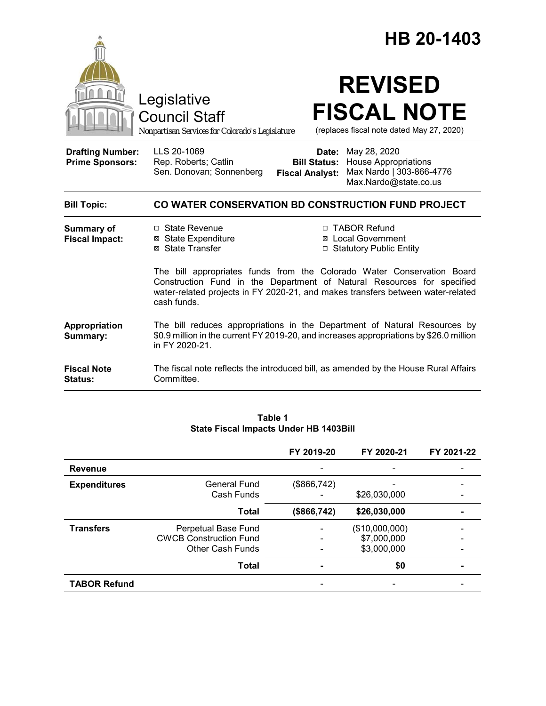|                                                   |                                                                                                                                                                                                                                                    | HB 20-1403                                                                                                                                    |  |  |
|---------------------------------------------------|----------------------------------------------------------------------------------------------------------------------------------------------------------------------------------------------------------------------------------------------------|-----------------------------------------------------------------------------------------------------------------------------------------------|--|--|
|                                                   | Legislative<br>Council Staff<br>Nonpartisan Services for Colorado's Legislature                                                                                                                                                                    | <b>REVISED</b><br><b>FISCAL NOTE</b><br>(replaces fiscal note dated May 27, 2020)                                                             |  |  |
| <b>Drafting Number:</b><br><b>Prime Sponsors:</b> | LLS 20-1069<br>Rep. Roberts; Catlin<br>Sen. Donovan; Sonnenberg                                                                                                                                                                                    | Date: May 28, 2020<br><b>Bill Status:</b> House Appropriations<br>Max Nardo   303-866-4776<br><b>Fiscal Analyst:</b><br>Max.Nardo@state.co.us |  |  |
| <b>Bill Topic:</b>                                | CO WATER CONSERVATION BD CONSTRUCTION FUND PROJECT                                                                                                                                                                                                 |                                                                                                                                               |  |  |
| Summary of<br><b>Fiscal Impact:</b>               | □ State Revenue<br><b>⊠</b> State Expenditure<br>⊠ State Transfer                                                                                                                                                                                  | □ TABOR Refund<br>⊠ Local Government<br>□ Statutory Public Entity                                                                             |  |  |
|                                                   | The bill appropriates funds from the Colorado Water Conservation Board<br>Construction Fund in the Department of Natural Resources for specified<br>water-related projects in FY 2020-21, and makes transfers between water-related<br>cash funds. |                                                                                                                                               |  |  |
| Appropriation<br>Summary:                         | The bill reduces appropriations in the Department of Natural Resources by<br>\$0.9 million in the current FY 2019-20, and increases appropriations by \$26.0 million<br>in FY 2020-21.                                                             |                                                                                                                                               |  |  |
| <b>Fiscal Note</b><br>Status:                     | The fiscal note reflects the introduced bill, as amended by the House Rural Affairs<br>Committee.                                                                                                                                                  |                                                                                                                                               |  |  |

|                     |                                                                                 | FY 2019-20   | FY 2020-21                                   | FY 2021-22 |
|---------------------|---------------------------------------------------------------------------------|--------------|----------------------------------------------|------------|
| <b>Revenue</b>      |                                                                                 |              |                                              |            |
| <b>Expenditures</b> | General Fund<br>Cash Funds                                                      | (\$866, 742) | \$26,030,000                                 |            |
|                     | <b>Total</b>                                                                    | (\$866,742)  | \$26,030,000                                 |            |
| <b>Transfers</b>    | Perpetual Base Fund<br><b>CWCB Construction Fund</b><br><b>Other Cash Funds</b> |              | (\$10,000,000)<br>\$7,000,000<br>\$3,000,000 |            |
|                     | <b>Total</b>                                                                    |              | \$0                                          |            |
| <b>TABOR Refund</b> |                                                                                 |              |                                              |            |

#### **Table 1 State Fiscal Impacts Under HB 1403Bill**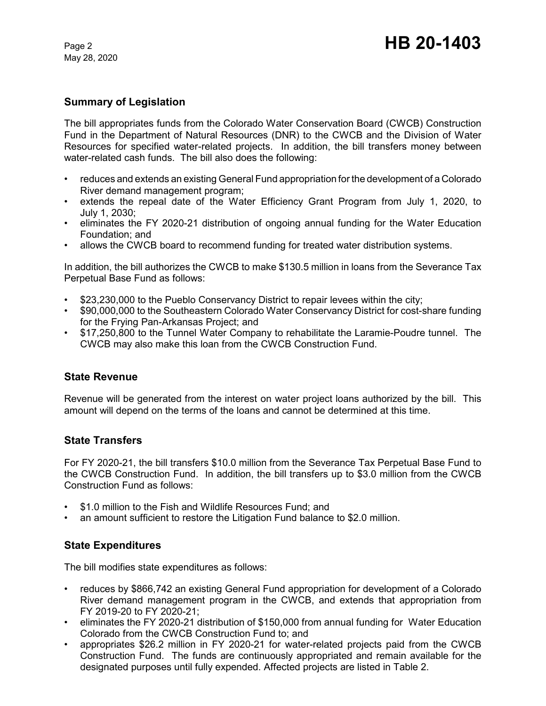May 28, 2020

## **Summary of Legislation**

The bill appropriates funds from the Colorado Water Conservation Board (CWCB) Construction Fund in the Department of Natural Resources (DNR) to the CWCB and the Division of Water Resources for specified water-related projects. In addition, the bill transfers money between water-related cash funds. The bill also does the following:

- reduces and extends an existing General Fund appropriation for the development of a Colorado River demand management program;
- extends the repeal date of the Water Efficiency Grant Program from July 1, 2020, to July 1, 2030;
- eliminates the FY 2020-21 distribution of ongoing annual funding for the Water Education Foundation; and
- allows the CWCB board to recommend funding for treated water distribution systems.

In addition, the bill authorizes the CWCB to make \$130.5 million in loans from the Severance Tax Perpetual Base Fund as follows:

- \$23,230,000 to the Pueblo Conservancy District to repair levees within the city;
- \$90,000,000 to the Southeastern Colorado Water Conservancy District for cost-share funding for the Frying Pan-Arkansas Project; and
- \$17,250,800 to the Tunnel Water Company to rehabilitate the Laramie-Poudre tunnel. The CWCB may also make this loan from the CWCB Construction Fund.

## **State Revenue**

Revenue will be generated from the interest on water project loans authorized by the bill. This amount will depend on the terms of the loans and cannot be determined at this time.

## **State Transfers**

For FY 2020-21, the bill transfers \$10.0 million from the Severance Tax Perpetual Base Fund to the CWCB Construction Fund. In addition, the bill transfers up to \$3.0 million from the CWCB Construction Fund as follows:

- \$1.0 million to the Fish and Wildlife Resources Fund; and
- an amount sufficient to restore the Litigation Fund balance to \$2.0 million.

## **State Expenditures**

The bill modifies state expenditures as follows:

- reduces by \$866,742 an existing General Fund appropriation for development of a Colorado River demand management program in the CWCB, and extends that appropriation from FY 2019-20 to FY 2020-21;
- eliminates the FY 2020-21 distribution of \$150,000 from annual funding for Water Education Colorado from the CWCB Construction Fund to; and
- appropriates \$26.2 million in FY 2020-21 for water-related projects paid from the CWCB Construction Fund. The funds are continuously appropriated and remain available for the designated purposes until fully expended. Affected projects are listed in Table 2.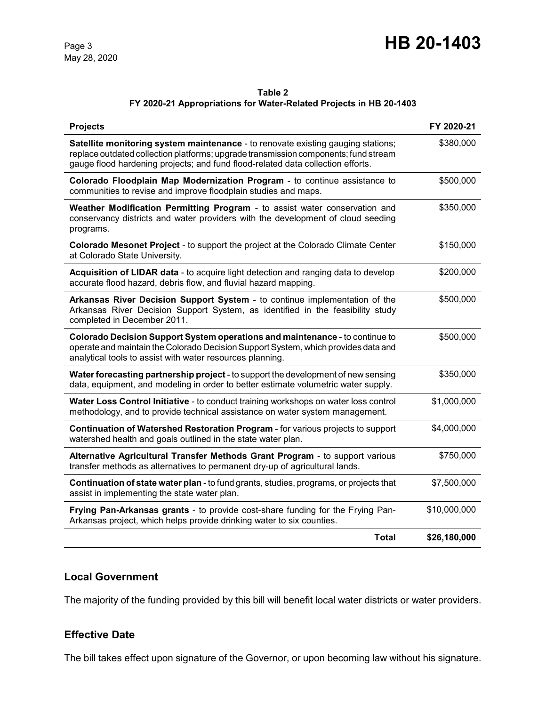# Page 3 **HB 20-1403**

# **Table 2**

# **FY 2020-21 Appropriations for Water-Related Projects in HB 20-1403**

| <b>Projects</b>                                                                                                                                                                                                                                            | FY 2020-21   |
|------------------------------------------------------------------------------------------------------------------------------------------------------------------------------------------------------------------------------------------------------------|--------------|
| Satellite monitoring system maintenance - to renovate existing gauging stations;<br>replace outdated collection platforms; upgrade transmission components; fund stream<br>gauge flood hardening projects; and fund flood-related data collection efforts. | \$380,000    |
| Colorado Floodplain Map Modernization Program - to continue assistance to<br>communities to revise and improve floodplain studies and maps.                                                                                                                | \$500,000    |
| Weather Modification Permitting Program - to assist water conservation and<br>conservancy districts and water providers with the development of cloud seeding<br>programs.                                                                                 | \$350,000    |
| Colorado Mesonet Project - to support the project at the Colorado Climate Center<br>at Colorado State University.                                                                                                                                          | \$150,000    |
| Acquisition of LIDAR data - to acquire light detection and ranging data to develop<br>accurate flood hazard, debris flow, and fluvial hazard mapping.                                                                                                      | \$200,000    |
| Arkansas River Decision Support System - to continue implementation of the<br>Arkansas River Decision Support System, as identified in the feasibility study<br>completed in December 2011.                                                                | \$500,000    |
| Colorado Decision Support System operations and maintenance - to continue to<br>operate and maintain the Colorado Decision Support System, which provides data and<br>analytical tools to assist with water resources planning.                            | \$500,000    |
| Water forecasting partnership project - to support the development of new sensing<br>data, equipment, and modeling in order to better estimate volumetric water supply.                                                                                    | \$350,000    |
| Water Loss Control Initiative - to conduct training workshops on water loss control<br>methodology, and to provide technical assistance on water system management.                                                                                        | \$1,000,000  |
| Continuation of Watershed Restoration Program - for various projects to support<br>watershed health and goals outlined in the state water plan.                                                                                                            | \$4,000,000  |
| Alternative Agricultural Transfer Methods Grant Program - to support various<br>transfer methods as alternatives to permanent dry-up of agricultural lands.                                                                                                | \$750,000    |
| Continuation of state water plan - to fund grants, studies, programs, or projects that<br>assist in implementing the state water plan.                                                                                                                     | \$7,500,000  |
| Frying Pan-Arkansas grants - to provide cost-share funding for the Frying Pan-<br>Arkansas project, which helps provide drinking water to six counties.                                                                                                    | \$10,000,000 |
| <b>Total</b>                                                                                                                                                                                                                                               | \$26,180,000 |

# **Local Government**

The majority of the funding provided by this bill will benefit local water districts or water providers.

# **Effective Date**

The bill takes effect upon signature of the Governor, or upon becoming law without his signature.